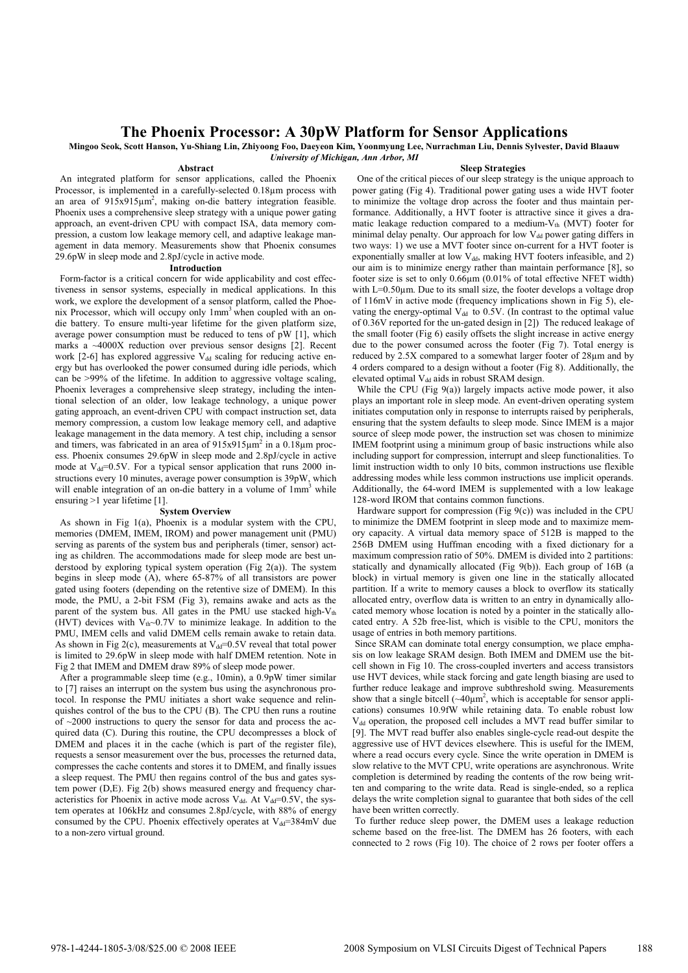## **The Phoenix Processor: A 30pW Platform for Sensor Applications**

**Mingoo Seok, Scott Hanson, Yu-Shiang Lin, Zhiyoong Foo, Daeyeon Kim, Yoonmyung Lee, Nurrachman Liu, Dennis Sylvester, David Blaauw**  *University of Michigan, Ann Arbor, MI*

## **Abstract**

 An integrated platform for sensor applications, called the Phoenix Processor, is implemented in a carefully-selected 0.18µm process with an area of 915x915µm<sup>2</sup>, making on-die battery integration feasible. Phoenix uses a comprehensive sleep strategy with a unique power gating approach, an event-driven CPU with compact ISA, data memory compression, a custom low leakage memory cell, and adaptive leakage management in data memory. Measurements show that Phoenix consumes 29.6pW in sleep mode and 2.8pJ/cycle in active mode.

## **Introduction**

 Form-factor is a critical concern for wide applicability and cost effectiveness in sensor systems, especially in medical applications. In this work, we explore the development of a sensor platform, called the Phoenix Processor, which will occupy only 1mm3 when coupled with an ondie battery. To ensure multi-year lifetime for the given platform size, average power consumption must be reduced to tens of pW [1], which marks a ~4000X reduction over previous sensor designs [2]. Recent work  $[2-6]$  has explored aggressive  $V_{dd}$  scaling for reducing active energy but has overlooked the power consumed during idle periods, which can be >99% of the lifetime. In addition to aggressive voltage scaling, Phoenix leverages a comprehensive sleep strategy, including the intentional selection of an older, low leakage technology, a unique power gating approach, an event-driven CPU with compact instruction set, data memory compression, a custom low leakage memory cell, and adaptive leakage management in the data memory. A test chip, including a sensor and timers, was fabricated in an area of  $915x915\mu m^2$  in a  $0.18\mu m$  process. Phoenix consumes 29.6pW in sleep mode and 2.8pJ/cycle in active mode at  $V_{dd}=0.5V$ . For a typical sensor application that runs 2000 instructions every 10 minutes, average power consumption is 39pW, which will enable integration of an on-die battery in a volume of 1mm<sup>3</sup> while ensuring >1 year lifetime [1].

## **System Overview**

 As shown in Fig 1(a), Phoenix is a modular system with the CPU, memories (DMEM, IMEM, IROM) and power management unit (PMU) serving as parents of the system bus and peripherals (timer, sensor) acting as children. The accommodations made for sleep mode are best understood by exploring typical system operation (Fig  $2(a)$ ). The system begins in sleep mode (A), where 65-87% of all transistors are power gated using footers (depending on the retentive size of DMEM). In this mode, the PMU, a 2-bit FSM (Fig 3), remains awake and acts as the parent of the system bus. All gates in the PMU use stacked high-V<sub>th</sub> (HVT) devices with  $V_{\text{th}}$ ~0.7V to minimize leakage. In addition to the PMU, IMEM cells and valid DMEM cells remain awake to retain data. As shown in Fig 2(c), measurements at  $V_{dd}=0.5V$  reveal that total power is limited to 29.6pW in sleep mode with half DMEM retention. Note in Fig 2 that IMEM and DMEM draw 89% of sleep mode power.

 After a programmable sleep time (e.g., 10min), a 0.9pW timer similar to [7] raises an interrupt on the system bus using the asynchronous protocol. In response the PMU initiates a short wake sequence and relinquishes control of the bus to the CPU (B). The CPU then runs a routine of  $\sim$ 2000 instructions to query the sensor for data and process the acquired data (C). During this routine, the CPU decompresses a block of DMEM and places it in the cache (which is part of the register file), requests a sensor measurement over the bus, processes the returned data, compresses the cache contents and stores it to DMEM, and finally issues a sleep request. The PMU then regains control of the bus and gates system power (D,E). Fig 2(b) shows measured energy and frequency characteristics for Phoenix in active mode across  $V_{dd}$ . At  $V_{dd}=0.5V$ , the system operates at 106kHz and consumes 2.8pJ/cycle, with 88% of energy consumed by the CPU. Phoenix effectively operates at  $V_{dd}=384 \text{mV}$  due to a non-zero virtual ground.

**Sleep Strategies**  One of the critical pieces of our sleep strategy is the unique approach to power gating (Fig 4). Traditional power gating uses a wide HVT footer to minimize the voltage drop across the footer and thus maintain performance. Additionally, a HVT footer is attractive since it gives a dramatic leakage reduction compared to a medium- $V_{th}$  (MVT) footer for minimal delay penalty. Our approach for low  $V_{dd}$  power gating differs in two ways: 1) we use a MVT footer since on-current for a HVT footer is exponentially smaller at low  $V_{dd}$ , making HVT footers infeasible, and 2) our aim is to minimize energy rather than maintain performance [8], so footer size is set to only 0.66µm (0.01% of total effective NFET width) with L=0.50 $\mu$ m. Due to its small size, the footer develops a voltage drop of 116mV in active mode (frequency implications shown in Fig 5), elevating the energy-optimal  $V_{dd}$  to 0.5V. (In contrast to the optimal value of 0.36V reported for the un-gated design in [2]) The reduced leakage of the small footer (Fig 6) easily offsets the slight increase in active energy due to the power consumed across the footer (Fig 7). Total energy is reduced by 2.5X compared to a somewhat larger footer of 28µm and by 4 orders compared to a design without a footer (Fig 8). Additionally, the elevated optimal V<sub>dd</sub> aids in robust SRAM design.

While the CPU (Fig  $9(a)$ ) largely impacts active mode power, it also plays an important role in sleep mode. An event-driven operating system initiates computation only in response to interrupts raised by peripherals, ensuring that the system defaults to sleep mode. Since IMEM is a major source of sleep mode power, the instruction set was chosen to minimize IMEM footprint using a minimum group of basic instructions while also including support for compression, interrupt and sleep functionalities. To limit instruction width to only 10 bits, common instructions use flexible addressing modes while less common instructions use implicit operands. Additionally, the 64-word IMEM is supplemented with a low leakage 128-word IROM that contains common functions.

 Hardware support for compression (Fig 9(c)) was included in the CPU to minimize the DMEM footprint in sleep mode and to maximize memory capacity. A virtual data memory space of 512B is mapped to the 256B DMEM using Huffman encoding with a fixed dictionary for a maximum compression ratio of 50%. DMEM is divided into 2 partitions: statically and dynamically allocated (Fig 9(b)). Each group of 16B (a block) in virtual memory is given one line in the statically allocated partition. If a write to memory causes a block to overflow its statically allocated entry, overflow data is written to an entry in dynamically allocated memory whose location is noted by a pointer in the statically allocated entry. A 52b free-list, which is visible to the CPU, monitors the usage of entries in both memory partitions.

 Since SRAM can dominate total energy consumption, we place emphasis on low leakage SRAM design. Both IMEM and DMEM use the bitcell shown in Fig 10. The cross-coupled inverters and access transistors use HVT devices, while stack forcing and gate length biasing are used to further reduce leakage and improve subthreshold swing. Measurements show that a single bitcell  $({\sim}40\mu\text{m}^2)$ , which is acceptable for sensor applications) consumes 10.9fW while retaining data. To enable robust low V<sub>dd</sub> operation, the proposed cell includes a MVT read buffer similar to [9]. The MVT read buffer also enables single-cycle read-out despite the aggressive use of HVT devices elsewhere. This is useful for the IMEM, where a read occurs every cycle. Since the write operation in DMEM is slow relative to the MVT CPU, write operations are asynchronous. Write completion is determined by reading the contents of the row being written and comparing to the write data. Read is single-ended, so a replica delays the write completion signal to guarantee that both sides of the cell have been written correctly.

 To further reduce sleep power, the DMEM uses a leakage reduction scheme based on the free-list. The DMEM has 26 footers, with each connected to 2 rows (Fig 10). The choice of 2 rows per footer offers a